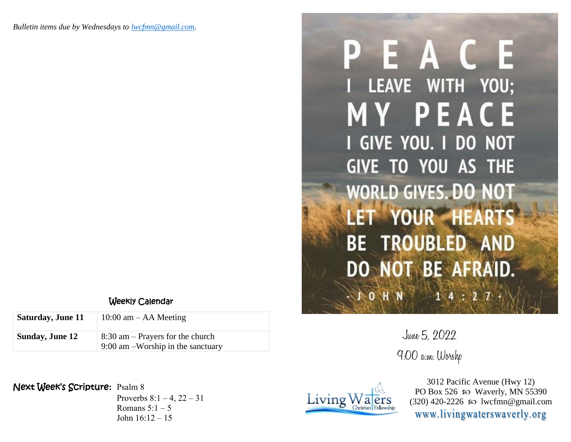## Weekly Calendar

| Saturday, June 11      | $10:00$ am $-$ AA Meeting                                                 |
|------------------------|---------------------------------------------------------------------------|
| <b>Sunday, June 12</b> | $8:30$ am – Prayers for the church<br>$9:00$ am -Worship in the sanctuary |

## Next Week's Scripture**:** Psalm 8

Proverbs  $8:1 - 4$ ,  $22 - 31$ Romans  $5:1-5$ John  $16:12 - 15$ 

## PEACE I LEAVE WITH YOU; **MY PEACE** I GIVE YOU. I DO NOT GIVE TO YOU AS THE **WORLD GIVES. DO NO** LET YOUR HEA **BE TROUBLED AND** DO NOT BE AFRAID. NO HN  $14:2$

June 5, 2022 9:00 a.m. Worshp



3012 Pacific Avenue (Hwy 12) PO Box 526  $\infty$  Waverly, MN 55390  $(320)$  420-2226  $\infty$  lwcfmn@gmail.com www.livingwaterswaverly.org